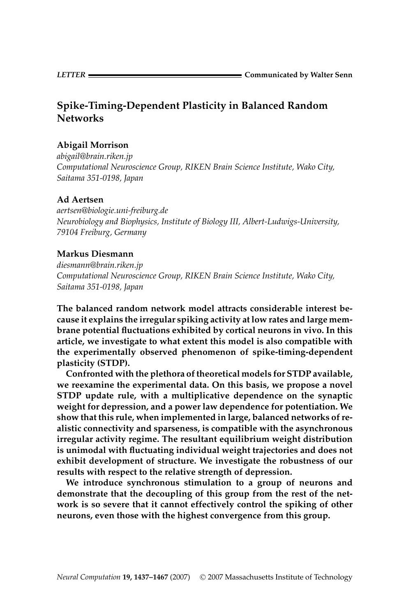# **Spike-Timing-Dependent Plasticity in Balanced Random Networks**

## **Abigail Morrison**

*abigail@brain.riken.jp Computational Neuroscience Group, RIKEN Brain Science Institute, Wako City, Saitama 351-0198, Japan*

## **Ad Aertsen**

*aertsen@biologie.uni-freiburg.de Neurobiology and Biophysics, Institute of Biology III, Albert-Ludwigs-University, 79104 Freiburg, Germany*

## **Markus Diesmann**

*diesmann@brain.riken.jp Computational Neuroscience Group, RIKEN Brain Science Institute, Wako City, Saitama 351-0198, Japan*

**The balanced random network model attracts considerable interest because it explains the irregular spiking activity at low rates and large membrane potential fluctuations exhibited by cortical neurons in vivo. In this article, we investigate to what extent this model is also compatible with the experimentally observed phenomenon of spike-timing-dependent plasticity (STDP).**

**Confronted with the plethora of theoretical models for STDP available, we reexamine the experimental data. On this basis, we propose a novel STDP update rule, with a multiplicative dependence on the synaptic weight for depression, and a power law dependence for potentiation. We show that this rule, when implemented in large, balanced networks of realistic connectivity and sparseness, is compatible with the asynchronous irregular activity regime. The resultant equilibrium weight distribution is unimodal with fluctuating individual weight trajectories and does not exhibit development of structure. We investigate the robustness of our results with respect to the relative strength of depression.**

**We introduce synchronous stimulation to a group of neurons and demonstrate that the decoupling of this group from the rest of the network is so severe that it cannot effectively control the spiking of other neurons, even those with the highest convergence from this group.**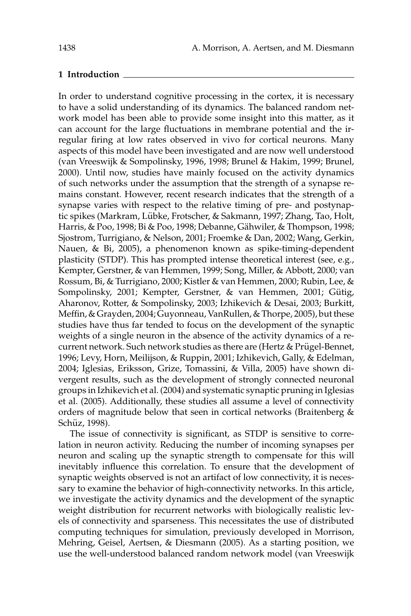## **1 Introduction**

In order to understand cognitive processing in the cortex, it is necessary to have a solid understanding of its dynamics. The balanced random network model has been able to provide some insight into this matter, as it can account for the large fluctuations in membrane potential and the irregular firing at low rates observed in vivo for cortical neurons. Many aspects of this model have been investigated and are now well understood (van Vreeswijk & Sompolinsky, 1996, 1998; Brunel & Hakim, 1999; Brunel, 2000). Until now, studies have mainly focused on the activity dynamics of such networks under the assumption that the strength of a synapse remains constant. However, recent research indicates that the strength of a synapse varies with respect to the relative timing of pre- and postynaptic spikes (Markram, Lübke, Frotscher, & Sakmann, 1997; Zhang, Tao, Holt, Harris, & Poo, 1998; Bi & Poo, 1998; Debanne, Gähwiler, & Thompson, 1998; Sjostrom, Turrigiano, & Nelson, 2001; Froemke & Dan, 2002; Wang, Gerkin, Nauen, & Bi, 2005), a phenomenon known as spike-timing-dependent plasticity (STDP). This has prompted intense theoretical interest (see, e.g., Kempter, Gerstner, & van Hemmen, 1999; Song, Miller, & Abbott, 2000; van Rossum, Bi, & Turrigiano, 2000; Kistler & van Hemmen, 2000; Rubin, Lee, & Sompolinsky, 2001; Kempter, Gerstner, & van Hemmen, 2001; Gütig, Aharonov, Rotter, & Sompolinsky, 2003; Izhikevich & Desai, 2003; Burkitt, Meffin, & Grayden, 2004; Guyonneau, VanRullen, & Thorpe, 2005), but these studies have thus far tended to focus on the development of the synaptic weights of a single neuron in the absence of the activity dynamics of a recurrent network. Such network studies as there are (Hertz & Prügel-Bennet, 1996; Levy, Horn, Meilijson, & Ruppin, 2001; Izhikevich, Gally, & Edelman, 2004; Iglesias, Eriksson, Grize, Tomassini, & Villa, 2005) have shown divergent results, such as the development of strongly connected neuronal groups in Izhikevich et al. (2004) and systematic synaptic pruning in Iglesias et al. (2005). Additionally, these studies all assume a level of connectivity orders of magnitude below that seen in cortical networks (Braitenberg & Schüz, 1998).

The issue of connectivity is significant, as STDP is sensitive to correlation in neuron activity. Reducing the number of incoming synapses per neuron and scaling up the synaptic strength to compensate for this will inevitably influence this correlation. To ensure that the development of synaptic weights observed is not an artifact of low connectivity, it is necessary to examine the behavior of high-connectivity networks. In this article, we investigate the activity dynamics and the development of the synaptic weight distribution for recurrent networks with biologically realistic levels of connectivity and sparseness. This necessitates the use of distributed computing techniques for simulation, previously developed in Morrison, Mehring, Geisel, Aertsen, & Diesmann (2005). As a starting position, we use the well-understood balanced random network model (van Vreeswijk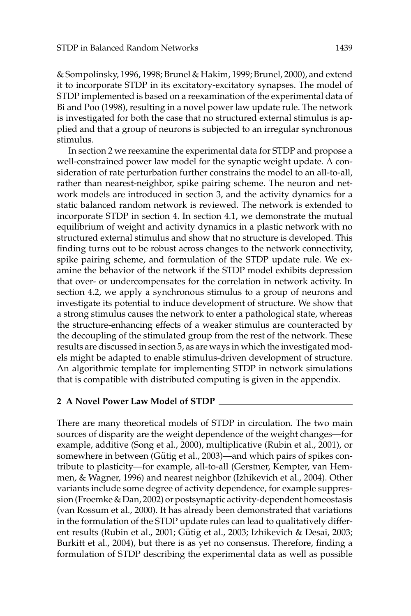& Sompolinsky, 1996, 1998; Brunel & Hakim, 1999; Brunel, 2000), and extend it to incorporate STDP in its excitatory-excitatory synapses. The model of STDP implemented is based on a reexamination of the experimental data of Bi and Poo (1998), resulting in a novel power law update rule. The network is investigated for both the case that no structured external stimulus is applied and that a group of neurons is subjected to an irregular synchronous stimulus.

In section 2 we reexamine the experimental data for STDP and propose a well-constrained power law model for the synaptic weight update. A consideration of rate perturbation further constrains the model to an all-to-all, rather than nearest-neighbor, spike pairing scheme. The neuron and network models are introduced in section 3, and the activity dynamics for a static balanced random network is reviewed. The network is extended to incorporate STDP in section 4. In section 4.1, we demonstrate the mutual equilibrium of weight and activity dynamics in a plastic network with no structured external stimulus and show that no structure is developed. This finding turns out to be robust across changes to the network connectivity, spike pairing scheme, and formulation of the STDP update rule. We examine the behavior of the network if the STDP model exhibits depression that over- or undercompensates for the correlation in network activity. In section 4.2, we apply a synchronous stimulus to a group of neurons and investigate its potential to induce development of structure. We show that a strong stimulus causes the network to enter a pathological state, whereas the structure-enhancing effects of a weaker stimulus are counteracted by the decoupling of the stimulated group from the rest of the network. These results are discussed in section 5, as are ways in which the investigated models might be adapted to enable stimulus-driven development of structure. An algorithmic template for implementing STDP in network simulations that is compatible with distributed computing is given in the appendix.

#### **2 A Novel Power Law Model of STDP**

There are many theoretical models of STDP in circulation. The two main sources of disparity are the weight dependence of the weight changes—for example, additive (Song et al., 2000), multiplicative (Rubin et al., 2001), or somewhere in between (Gütig et al., 2003)—and which pairs of spikes contribute to plasticity—for example, all-to-all (Gerstner, Kempter, van Hemmen, & Wagner, 1996) and nearest neighbor (Izhikevich et al., 2004). Other variants include some degree of activity dependence, for example suppression (Froemke & Dan, 2002) or postsynaptic activity-dependent homeostasis (van Rossum et al., 2000). It has already been demonstrated that variations in the formulation of the STDP update rules can lead to qualitatively different results (Rubin et al., 2001; Gütig et al., 2003; Izhikevich & Desai, 2003; Burkitt et al., 2004), but there is as yet no consensus. Therefore, finding a formulation of STDP describing the experimental data as well as possible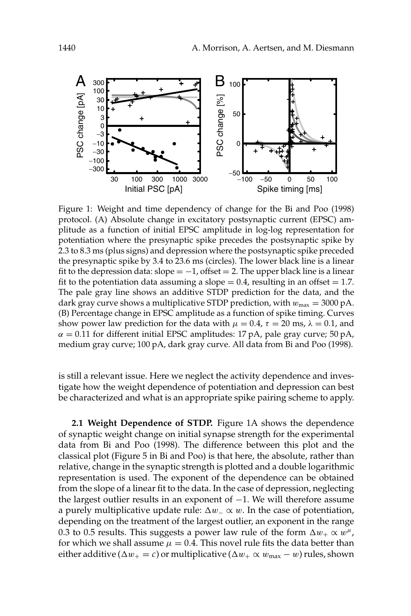

Figure 1: Weight and time dependency of change for the Bi and Poo (1998) protocol. (A) Absolute change in excitatory postsynaptic current (EPSC) amplitude as a function of initial EPSC amplitude in log-log representation for potentiation where the presynaptic spike precedes the postsynaptic spike by 2.3 to 8.3 ms (plus signs) and depression where the postsynaptic spike preceded the presynaptic spike by 3.4 to 23.6 ms (circles). The lower black line is a linear fit to the depression data: slope  $= -1$ , offset  $= 2$ . The upper black line is a linear fit to the potentiation data assuming a slope  $= 0.4$ , resulting in an offset  $= 1.7$ . The pale gray line shows an additive STDP prediction for the data, and the dark gray curve shows a multiplicative STDP prediction, with  $w_{\text{max}} = 3000 \text{ pA}$ . (B) Percentage change in EPSC amplitude as a function of spike timing. Curves show power law prediction for the data with  $\mu = 0.4$ ,  $\tau = 20$  ms,  $\lambda = 0.1$ , and  $\alpha = 0.11$  for different initial EPSC amplitudes: 17 pA, pale gray curve; 50 pA, medium gray curve; 100 pA, dark gray curve. All data from Bi and Poo (1998).

is still a relevant issue. Here we neglect the activity dependence and investigate how the weight dependence of potentiation and depression can best be characterized and what is an appropriate spike pairing scheme to apply.

**2.1 Weight Dependence of STDP.** Figure 1A shows the dependence of synaptic weight change on initial synapse strength for the experimental data from Bi and Poo (1998). The difference between this plot and the classical plot (Figure 5 in Bi and Poo) is that here, the absolute, rather than relative, change in the synaptic strength is plotted and a double logarithmic representation is used. The exponent of the dependence can be obtained from the slope of a linear fit to the data. In the case of depression, neglecting the largest outlier results in an exponent of −1. We will therefore assume a purely multiplicative update rule:  $\Delta w_-\propto w$ . In the case of potentiation, depending on the treatment of the largest outlier, an exponent in the range 0.3 to 0.5 results. This suggests a power law rule of the form  $\Delta w_+ \propto w^{\mu}$ , for which we shall assume  $\mu = 0.4$ . This novel rule fits the data better than either additive ( $\Delta w_+ = c$ ) or multiplicative ( $\Delta w_+ \propto w_{\text{max}} - w$ ) rules, shown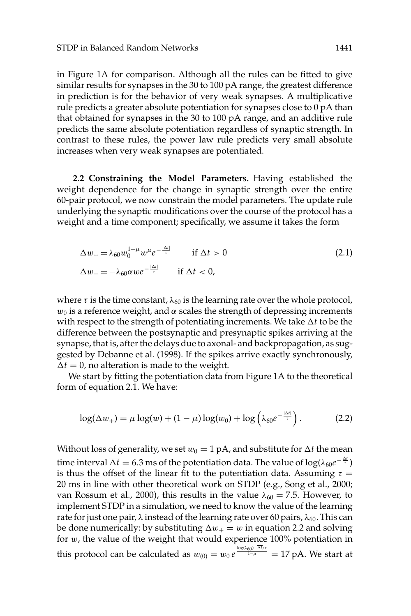in Figure 1A for comparison. Although all the rules can be fitted to give similar results for synapses in the 30 to 100 pA range, the greatest difference in prediction is for the behavior of very weak synapses. A multiplicative rule predicts a greater absolute potentiation for synapses close to 0 pA than that obtained for synapses in the 30 to 100 pA range, and an additive rule predicts the same absolute potentiation regardless of synaptic strength. In contrast to these rules, the power law rule predicts very small absolute increases when very weak synapses are potentiated.

**2.2 Constraining the Model Parameters.** Having established the weight dependence for the change in synaptic strength over the entire 60-pair protocol, we now constrain the model parameters. The update rule underlying the synaptic modifications over the course of the protocol has a weight and a time component; specifically, we assume it takes the form

$$
\Delta w_{+} = \lambda_{60} w_0^{1-\mu} w^{\mu} e^{-\frac{|\Delta t|}{\tau}} \quad \text{if } \Delta t > 0
$$
\n
$$
\Delta w_{-} = -\lambda_{60} \alpha w e^{-\frac{|\Delta t|}{\tau}} \quad \text{if } \Delta t < 0,
$$
\n(2.1)

where  $\tau$  is the time constant,  $\lambda_{60}$  is the learning rate over the whole protocol,  $w_0$  is a reference weight, and  $\alpha$  scales the strength of depressing increments with respect to the strength of potentiating increments. We take  $\Delta t$  to be the difference between the postsynaptic and presynaptic spikes arriving at the synapse, that is, after the delays due to axonal- and backpropagation, as suggested by Debanne et al. (1998). If the spikes arrive exactly synchronously,  $\Delta t = 0$ , no alteration is made to the weight.

We start by fitting the potentiation data from Figure 1A to the theoretical form of equation 2.1. We have:

$$
\log(\Delta w_{+}) = \mu \log(w) + (1 - \mu) \log(w_{0}) + \log\left(\lambda_{60}e^{-\frac{|\Delta t|}{\tau}}\right). \tag{2.2}
$$

Without loss of generality, we set  $w_0 = 1$  pA, and substitute for  $\Delta t$  the mean time interval  $\overline{\Delta t}$  = 6.3 ms of the potentiation data. The value of log( $\lambda_{60}e^{-\frac{\overline{\Delta t}}{t}}$ ) is thus the offset of the linear fit to the potentiation data. Assuming  $\tau =$ 20 ms in line with other theoretical work on STDP (e.g., Song et al., 2000; van Rossum et al., 2000), this results in the value  $\lambda_{60} = 7.5$ . However, to implement STDP in a simulation, we need to know the value of the learning rate for just one pair,  $\lambda$  instead of the learning rate over 60 pairs,  $\lambda_{60}$ . This can be done numerically: by substituting  $\Delta w_+ = w$  in equation 2.2 and solving for  $w$ , the value of the weight that would experience 100% potentiation in this protocol can be calculated as  $w_{(0)} = w_0 e^{\frac{\log(\lambda_{60}) - \overline{\Delta t}/\tau}{1-\mu}} = 17 \text{ pA}$ . We start at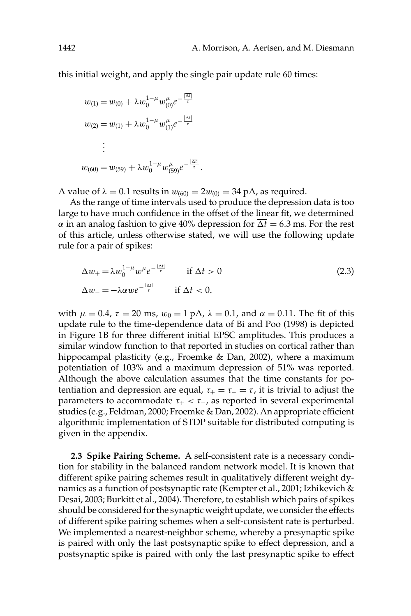this initial weight, and apply the single pair update rule 60 times:

$$
w_{(1)} = w_{(0)} + \lambda w_0^{1-\mu} w_{(0)}^{\mu} e^{-\frac{|\overline{\Delta t}|}{\tau}}
$$
  

$$
w_{(2)} = w_{(1)} + \lambda w_0^{1-\mu} w_{(1)}^{\mu} e^{-\frac{|\overline{\Delta t}|}{\tau}}
$$
  

$$
\vdots
$$
  

$$
w_{(60)} = w_{(59)} + \lambda w_0^{1-\mu} w_{(59)}^{\mu} e^{-\frac{|\overline{\Delta t}|}{\tau}}.
$$

A value of  $\lambda = 0.1$  results in  $w_{(60)} = 2w_{(0)} = 34$  pA, as required.

As the range of time intervals used to produce the depression data is too large to have much confidence in the offset of the linear fit, we determined  $\alpha$  in an analog fashion to give 40% depression for  $\overline{\Delta t} = 6.3$  ms. For the rest of this article, unless otherwise stated, we will use the following update rule for a pair of spikes:

$$
\Delta w_{+} = \lambda w_0^{1-\mu} w^{\mu} e^{-\frac{|\Delta t|}{\tau}} \qquad \text{if } \Delta t > 0
$$
\n
$$
\Delta w_{-} = -\lambda \alpha w e^{-\frac{|\Delta t|}{\tau}} \qquad \text{if } \Delta t < 0,
$$
\n(2.3)

with  $\mu = 0.4$ ,  $\tau = 20$  ms,  $w_0 = 1$  pA,  $\lambda = 0.1$ , and  $\alpha = 0.11$ . The fit of this update rule to the time-dependence data of Bi and Poo (1998) is depicted in Figure 1B for three different initial EPSC amplitudes. This produces a similar window function to that reported in studies on cortical rather than hippocampal plasticity (e.g., Froemke & Dan, 2002), where a maximum potentiation of 103% and a maximum depression of 51% was reported. Although the above calculation assumes that the time constants for potentiation and depression are equal,  $\tau_{+} = \tau_{-} = \tau$ , it is trivial to adjust the parameters to accommodate  $\tau_+ < \tau_-$ , as reported in several experimental studies (e.g., Feldman, 2000; Froemke & Dan, 2002). An appropriate efficient algorithmic implementation of STDP suitable for distributed computing is given in the appendix.

**2.3 Spike Pairing Scheme.** A self-consistent rate is a necessary condition for stability in the balanced random network model. It is known that different spike pairing schemes result in qualitatively different weight dynamics as a function of postsynaptic rate (Kempter et al., 2001; Izhikevich & Desai, 2003; Burkitt et al., 2004). Therefore, to establish which pairs of spikes should be considered for the synaptic weight update, we consider the effects of different spike pairing schemes when a self-consistent rate is perturbed. We implemented a nearest-neighbor scheme, whereby a presynaptic spike is paired with only the last postsynaptic spike to effect depression, and a postsynaptic spike is paired with only the last presynaptic spike to effect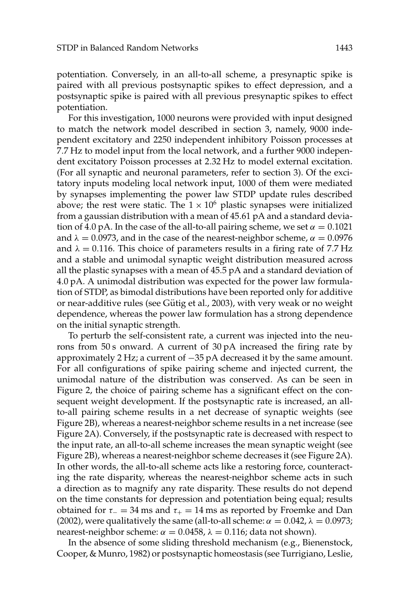potentiation. Conversely, in an all-to-all scheme, a presynaptic spike is paired with all previous postsynaptic spikes to effect depression, and a postsynaptic spike is paired with all previous presynaptic spikes to effect potentiation.

For this investigation, 1000 neurons were provided with input designed to match the network model described in section 3, namely, 9000 independent excitatory and 2250 independent inhibitory Poisson processes at 7.7 Hz to model input from the local network, and a further 9000 independent excitatory Poisson processes at 2.32 Hz to model external excitation. (For all synaptic and neuronal parameters, refer to section 3). Of the excitatory inputs modeling local network input, 1000 of them were mediated by synapses implementing the power law STDP update rules described above; the rest were static. The  $1 \times 10^6$  plastic synapses were initialized from a gaussian distribution with a mean of 45.61 pA and a standard deviation of 4.0 pA. In the case of the all-to-all pairing scheme, we set  $\alpha = 0.1021$ and  $\lambda = 0.0973$ , and in the case of the nearest-neighbor scheme,  $\alpha = 0.0976$ and  $\lambda = 0.116$ . This choice of parameters results in a firing rate of 7.7 Hz and a stable and unimodal synaptic weight distribution measured across all the plastic synapses with a mean of 45.5 pA and a standard deviation of 4.0 pA. A unimodal distribution was expected for the power law formulation of STDP, as bimodal distributions have been reported only for additive or near-additive rules (see Gütig et al., 2003), with very weak or no weight dependence, whereas the power law formulation has a strong dependence on the initial synaptic strength.

To perturb the self-consistent rate, a current was injected into the neurons from 50 s onward. A current of 30 pA increased the firing rate by approximately 2 Hz; a current of −35 pA decreased it by the same amount. For all configurations of spike pairing scheme and injected current, the unimodal nature of the distribution was conserved. As can be seen in Figure 2, the choice of pairing scheme has a significant effect on the consequent weight development. If the postsynaptic rate is increased, an allto-all pairing scheme results in a net decrease of synaptic weights (see Figure 2B), whereas a nearest-neighbor scheme results in a net increase (see Figure 2A). Conversely, if the postsynaptic rate is decreased with respect to the input rate, an all-to-all scheme increases the mean synaptic weight (see Figure 2B), whereas a nearest-neighbor scheme decreases it (see Figure 2A). In other words, the all-to-all scheme acts like a restoring force, counteracting the rate disparity, whereas the nearest-neighbor scheme acts in such a direction as to magnify any rate disparity. These results do not depend on the time constants for depression and potentiation being equal; results obtained for  $\tau_$  = 34 ms and  $\tau_$  = 14 ms as reported by Froemke and Dan (2002), were qualitatively the same (all-to-all scheme:  $\alpha = 0.042$ ,  $\lambda = 0.0973$ ; nearest-neighbor scheme:  $\alpha = 0.0458$ ,  $\lambda = 0.116$ ; data not shown).

In the absence of some sliding threshold mechanism (e.g., Bienenstock, Cooper, & Munro, 1982) or postsynaptic homeostasis (see Turrigiano, Leslie,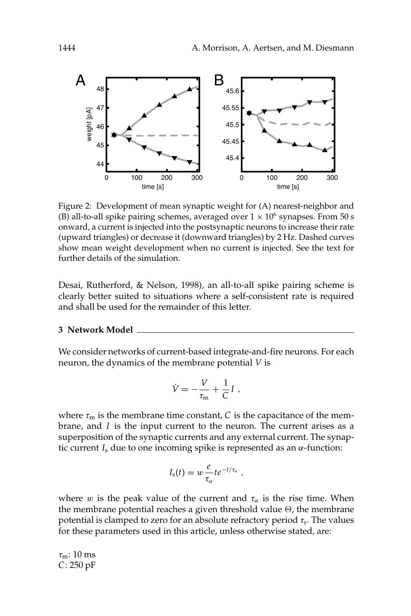

Figure 2: Development of mean synaptic weight for (A) nearest-neighbor and (B) all-to-all spike pairing schemes, averaged over  $1 \times 10^6$  synapses. From 50 s onward, a current is injected into the postsynaptic neurons to increase their rate (upward triangles) or decrease it (downward triangles) by 2 Hz. Dashed curves show mean weight development when no current is injected. See the text for further details of the simulation.

Desai, Rutherford, & Nelson, 1998), an all-to-all spike pairing scheme is clearly better suited to situations where a self-consistent rate is required and shall be used for the remainder of this letter.

## **3 Network Model**

We consider networks of current-based integrate-and-fire neurons. For each neuron, the dynamics of the membrane potential *V* is

$$
\dot{V} = -\frac{V}{\tau_{\rm m}} + \frac{1}{C}I,
$$

where  $\tau_{\rm m}$  is the membrane time constant, *C* is the capacitance of the membrane, and *I* is the input current to the neuron. The current arises as a superposition of the synaptic currents and any external current. The synaptic current  $I_s$  due to one incoming spike is represented as an  $\alpha$ -function:

$$
I_{\rm s}(t) = w \frac{e}{\tau_{\alpha}} t e^{-t/\tau_{\alpha}} \ ,
$$

where w is the peak value of the current and  $\tau_{\alpha}$  is the rise time. When the membrane potential reaches a given threshold value  $\Theta$ , the membrane potential is clamped to zero for an absolute refractory period  $\tau_r$ . The values for these parameters used in this article, unless otherwise stated, are:

 $\tau_{\rm m}$ : 10 ms *C*: 250 pF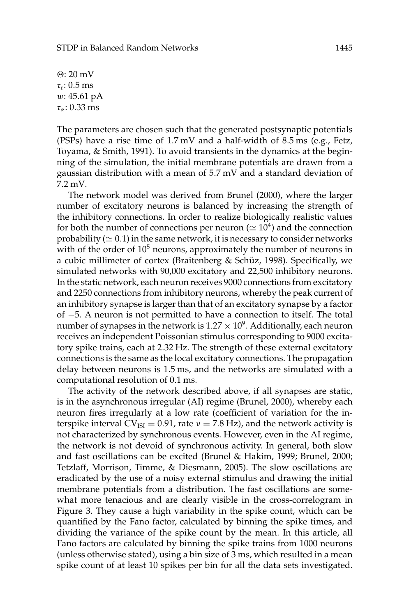$\Theta$ : 20 mV  $\tau_r$ : 0.5 ms w: 45.61 pA  $\tau_{\alpha}$ : 0.33 ms

The parameters are chosen such that the generated postsynaptic potentials (PSPs) have a rise time of 1.7 mV and a half-width of 8.5 ms (e.g., Fetz, Toyama, & Smith, 1991). To avoid transients in the dynamics at the beginning of the simulation, the initial membrane potentials are drawn from a gaussian distribution with a mean of 5.7 mV and a standard deviation of 7.2 mV.

The network model was derived from Brunel (2000), where the larger number of excitatory neurons is balanced by increasing the strength of the inhibitory connections. In order to realize biologically realistic values for both the number of connections per neuron ( $\approx 10^4$ ) and the connection probability ( $\simeq 0.1$ ) in the same network, it is necessary to consider networks with of the order of  $10<sup>5</sup>$  neurons, approximately the number of neurons in a cubic millimeter of cortex (Braitenberg  $&$  Schüz, 1998). Specifically, we simulated networks with 90,000 excitatory and 22,500 inhibitory neurons. In the static network, each neuron receives 9000 connections from excitatory and 2250 connections from inhibitory neurons, whereby the peak current of an inhibitory synapse is larger than that of an excitatory synapse by a factor of −5. A neuron is not permitted to have a connection to itself. The total number of synapses in the network is  $1.27 \times 10^9$ . Additionally, each neuron receives an independent Poissonian stimulus corresponding to 9000 excitatory spike trains, each at 2.32 Hz. The strength of these external excitatory connections is the same as the local excitatory connections. The propagation delay between neurons is 1.5 ms, and the networks are simulated with a computational resolution of 0.1 ms.

The activity of the network described above, if all synapses are static, is in the asynchronous irregular (AI) regime (Brunel, 2000), whereby each neuron fires irregularly at a low rate (coefficient of variation for the interspike interval  $CV_{\text{ISI}} = 0.91$ , rate  $v = 7.8$  Hz), and the network activity is not characterized by synchronous events. However, even in the AI regime, the network is not devoid of synchronous activity. In general, both slow and fast oscillations can be excited (Brunel & Hakim, 1999; Brunel, 2000; Tetzlaff, Morrison, Timme, & Diesmann, 2005). The slow oscillations are eradicated by the use of a noisy external stimulus and drawing the initial membrane potentials from a distribution. The fast oscillations are somewhat more tenacious and are clearly visible in the cross-correlogram in Figure 3. They cause a high variability in the spike count, which can be quantified by the Fano factor, calculated by binning the spike times, and dividing the variance of the spike count by the mean. In this article, all Fano factors are calculated by binning the spike trains from 1000 neurons (unless otherwise stated), using a bin size of 3 ms, which resulted in a mean spike count of at least 10 spikes per bin for all the data sets investigated.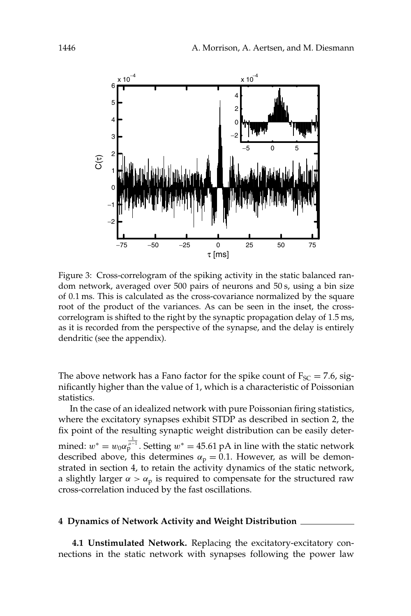

Figure 3: Cross-correlogram of the spiking activity in the static balanced random network, averaged over 500 pairs of neurons and 50 s, using a bin size of 0.1 ms. This is calculated as the cross-covariance normalized by the square root of the product of the variances. As can be seen in the inset, the crosscorrelogram is shifted to the right by the synaptic propagation delay of 1.5 ms, as it is recorded from the perspective of the synapse, and the delay is entirely dendritic (see the appendix).

The above network has a Fano factor for the spike count of  $F_{SC} = 7.6$ , significantly higher than the value of 1, which is a characteristic of Poissonian statistics.

In the case of an idealized network with pure Poissonian firing statistics, where the excitatory synapses exhibit STDP as described in section 2, the fix point of the resulting synaptic weight distribution can be easily determined:  $w^* = w_0 \alpha_p^{\frac{1}{\mu-1}}$ . Setting  $w^* = 45.61$  pA in line with the static network described above, this determines  $\alpha_p = 0.1$ . However, as will be demonstrated in section 4, to retain the activity dynamics of the static network, a slightly larger  $\alpha > \alpha_p$  is required to compensate for the structured raw cross-correlation induced by the fast oscillations.

#### **4 Dynamics of Network Activity and Weight Distribution**

**4.1 Unstimulated Network.** Replacing the excitatory-excitatory connections in the static network with synapses following the power law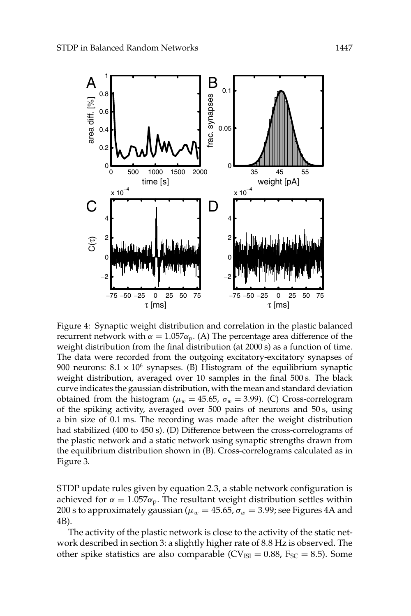

Figure 4: Synaptic weight distribution and correlation in the plastic balanced recurrent network with  $\alpha = 1.057\alpha_{p}$ . (A) The percentage area difference of the weight distribution from the final distribution (at 2000 s) as a function of time. The data were recorded from the outgoing excitatory-excitatory synapses of 900 neurons:  $8.1 \times 10^6$  synapses. (B) Histogram of the equilibrium synaptic weight distribution, averaged over 10 samples in the final 500 s. The black curve indicates the gaussian distribution, with the mean and standard deviation obtained from the histogram ( $\mu_w = 45.65$ ,  $\sigma_w = 3.99$ ). (C) Cross-correlogram of the spiking activity, averaged over 500 pairs of neurons and 50 s, using a bin size of 0.1 ms. The recording was made after the weight distribution had stabilized (400 to 450 s). (D) Difference between the cross-correlograms of the plastic network and a static network using synaptic strengths drawn from the equilibrium distribution shown in (B). Cross-correlograms calculated as in Figure 3.

STDP update rules given by equation 2.3, a stable network configuration is achieved for  $\alpha = 1.057\alpha_p$ . The resultant weight distribution settles within 200 s to approximately gaussian ( $\mu_w = 45.65$ ,  $\sigma_w = 3.99$ ; see Figures 4A and 4B).

The activity of the plastic network is close to the activity of the static network described in section 3: a slightly higher rate of 8.8 Hz is observed. The other spike statistics are also comparable ( $CV_{ISI} = 0.88$ ,  $F_{SC} = 8.5$ ). Some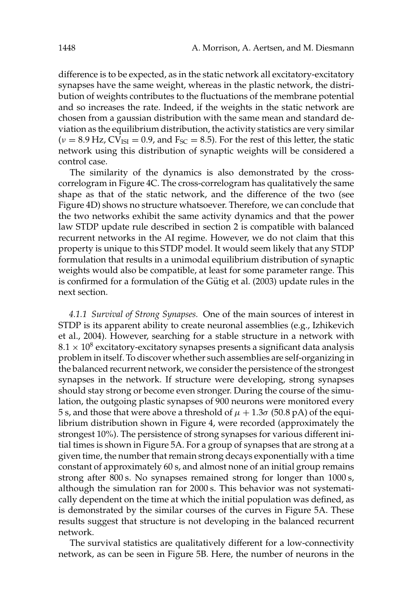difference is to be expected, as in the static network all excitatory-excitatory synapses have the same weight, whereas in the plastic network, the distribution of weights contributes to the fluctuations of the membrane potential and so increases the rate. Indeed, if the weights in the static network are chosen from a gaussian distribution with the same mean and standard deviation as the equilibrium distribution, the activity statistics are very similar  $(v = 8.9 \text{ Hz}, \text{CV}_{\text{ISI}} = 0.9, \text{and } \text{F}_{\text{SC}} = 8.5$ ). For the rest of this letter, the static network using this distribution of synaptic weights will be considered a control case.

The similarity of the dynamics is also demonstrated by the crosscorrelogram in Figure 4C. The cross-correlogram has qualitatively the same shape as that of the static network, and the difference of the two (see Figure 4D) shows no structure whatsoever. Therefore, we can conclude that the two networks exhibit the same activity dynamics and that the power law STDP update rule described in section 2 is compatible with balanced recurrent networks in the AI regime. However, we do not claim that this property is unique to this STDP model. It would seem likely that any STDP formulation that results in a unimodal equilibrium distribution of synaptic weights would also be compatible, at least for some parameter range. This is confirmed for a formulation of the Gütig et al. (2003) update rules in the next section.

*4.1.1 Survival of Strong Synapses.* One of the main sources of interest in STDP is its apparent ability to create neuronal assemblies (e.g., Izhikevich et al., 2004). However, searching for a stable structure in a network with  $8.1 \times 10^8$  excitatory-excitatory synapses presents a significant data analysis problem in itself. To discover whether such assemblies are self-organizing in the balanced recurrent network, we consider the persistence of the strongest synapses in the network. If structure were developing, strong synapses should stay strong or become even stronger. During the course of the simulation, the outgoing plastic synapses of 900 neurons were monitored every 5 s, and those that were above a threshold of  $\mu + 1.3\sigma$  (50.8 pA) of the equilibrium distribution shown in Figure 4, were recorded (approximately the strongest 10%). The persistence of strong synapses for various different initial times is shown in Figure 5A. For a group of synapses that are strong at a given time, the number that remain strong decays exponentially with a time constant of approximately 60 s, and almost none of an initial group remains strong after 800 s. No synapses remained strong for longer than 1000 s, although the simulation ran for 2000 s. This behavior was not systematically dependent on the time at which the initial population was defined, as is demonstrated by the similar courses of the curves in Figure 5A. These results suggest that structure is not developing in the balanced recurrent network.

The survival statistics are qualitatively different for a low-connectivity network, as can be seen in Figure 5B. Here, the number of neurons in the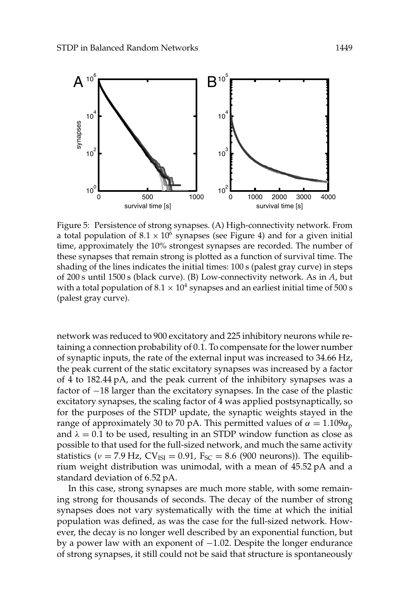

Figure 5: Persistence of strong synapses. (A) High-connectivity network. From a total population of  $8.1 \times 10^6$  synapses (see Figure 4) and for a given initial time, approximately the 10% strongest synapses are recorded. The number of these synapses that remain strong is plotted as a function of survival time. The shading of the lines indicates the initial times: 100 s (palest gray curve) in steps of 200 s until 1500 s (black curve). (B) Low-connectivity network. As in *A*, but with a total population of  $8.1 \times 10^4$  synapses and an earliest initial time of 500 s (palest gray curve).

network was reduced to 900 excitatory and 225 inhibitory neurons while retaining a connection probability of 0.1. To compensate for the lower number of synaptic inputs, the rate of the external input was increased to 34.66 Hz, the peak current of the static excitatory synapses was increased by a factor of 4 to 182.44 pA, and the peak current of the inhibitory synapses was a factor of −18 larger than the excitatory synapses. In the case of the plastic excitatory synapses, the scaling factor of 4 was applied postsynaptically, so for the purposes of the STDP update, the synaptic weights stayed in the range of approximately 30 to 70 pA. This permitted values of  $\alpha = 1.109\alpha_{p}$ and  $\lambda = 0.1$  to be used, resulting in an STDP window function as close as possible to that used for the full-sized network, and much the same activity statistics ( $v = 7.9$  Hz,  $CV_{ISI} = 0.91$ ,  $F_{SC} = 8.6$  (900 neurons)). The equilibrium weight distribution was unimodal, with a mean of 45.52 pA and a standard deviation of 6.52 pA.

In this case, strong synapses are much more stable, with some remaining strong for thousands of seconds. The decay of the number of strong synapses does not vary systematically with the time at which the initial population was defined, as was the case for the full-sized network. However, the decay is no longer well described by an exponential function, but by a power law with an exponent of −1.02. Despite the longer endurance of strong synapses, it still could not be said that structure is spontaneously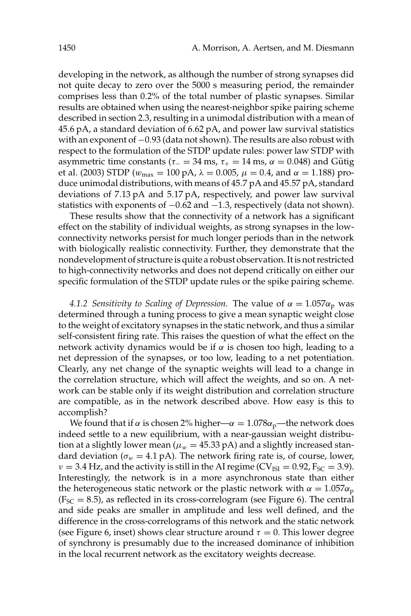developing in the network, as although the number of strong synapses did not quite decay to zero over the 5000 s measuring period, the remainder comprises less than 0.2% of the total number of plastic synapses. Similar results are obtained when using the nearest-neighbor spike pairing scheme described in section 2.3, resulting in a unimodal distribution with a mean of 45.6 pA, a standard deviation of 6.62 pA, and power law survival statistics with an exponent of −0.93 (data not shown). The results are also robust with respect to the formulation of the STDP update rules: power law STDP with asymmetric time constants ( $\tau$  = 34 ms,  $\tau$  + = 14 ms,  $\alpha$  = 0.048) and Gütig et al. (2003) STDP ( $w_{\text{max}} = 100 \text{ pA}$ ,  $\lambda = 0.005$ ,  $\mu = 0.4$ , and  $\alpha = 1.188$ ) produce unimodal distributions, with means of 45.7 pA and 45.57 pA, standard deviations of 7.13 pA and 5.17 pA, respectively, and power law survival statistics with exponents of −0.62 and −1.3, respectively (data not shown).

These results show that the connectivity of a network has a significant effect on the stability of individual weights, as strong synapses in the lowconnectivity networks persist for much longer periods than in the network with biologically realistic connectivity. Further, they demonstrate that the nondevelopment of structure is quite a robust observation. It is not restricted to high-connectivity networks and does not depend critically on either our specific formulation of the STDP update rules or the spike pairing scheme.

*4.1.2 Sensitivity to Scaling of Depression.* The value of  $\alpha = 1.057\alpha_p$  was determined through a tuning process to give a mean synaptic weight close to the weight of excitatory synapses in the static network, and thus a similar self-consistent firing rate. This raises the question of what the effect on the network activity dynamics would be if  $\alpha$  is chosen too high, leading to a net depression of the synapses, or too low, leading to a net potentiation. Clearly, any net change of the synaptic weights will lead to a change in the correlation structure, which will affect the weights, and so on. A network can be stable only if its weight distribution and correlation structure are compatible, as in the network described above. How easy is this to accomplish?

We found that if  $\alpha$  is chosen 2% higher— $\alpha = 1.078\alpha_{p}$ —the network does indeed settle to a new equilibrium, with a near-gaussian weight distribution at a slightly lower mean ( $\mu_w = 45.33 \text{ pA}$ ) and a slightly increased standard deviation ( $\sigma_w = 4.1 \text{ pA}$ ). The network firing rate is, of course, lower,  $v = 3.4$  Hz, and the activity is still in the AI regime (CV<sub>ISI</sub> = 0.92, F<sub>SC</sub> = 3.9). Interestingly, the network is in a more asynchronous state than either the heterogeneous static network or the plastic network with  $\alpha = 1.057\alpha_p$  $(F<sub>SC</sub> = 8.5)$ , as reflected in its cross-correlogram (see Figure 6). The central and side peaks are smaller in amplitude and less well defined, and the difference in the cross-correlograms of this network and the static network (see Figure 6, inset) shows clear structure around  $\tau = 0$ . This lower degree of synchrony is presumably due to the increased dominance of inhibition in the local recurrent network as the excitatory weights decrease.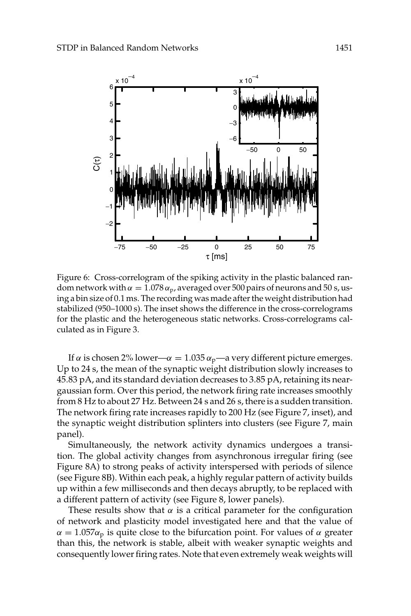

Figure 6: Cross-correlogram of the spiking activity in the plastic balanced random network with  $\alpha = 1.078 \alpha_{p}$ , averaged over 500 pairs of neurons and 50 s, using a bin size of 0.1 ms. The recording was made after the weight distribution had stabilized (950–1000 s). The inset shows the difference in the cross-correlograms for the plastic and the heterogeneous static networks. Cross-correlograms calculated as in Figure 3.

If  $\alpha$  is chosen 2% lower— $\alpha = 1.035 \alpha_p$ —a very different picture emerges. Up to 24 s, the mean of the synaptic weight distribution slowly increases to 45.83 pA, and its standard deviation decreases to 3.85 pA, retaining its neargaussian form. Over this period, the network firing rate increases smoothly from 8 Hz to about 27 Hz. Between 24 s and 26 s, there is a sudden transition. The network firing rate increases rapidly to 200 Hz (see Figure 7, inset), and the synaptic weight distribution splinters into clusters (see Figure 7, main panel).

Simultaneously, the network activity dynamics undergoes a transition. The global activity changes from asynchronous irregular firing (see Figure 8A) to strong peaks of activity interspersed with periods of silence (see Figure 8B). Within each peak, a highly regular pattern of activity builds up within a few milliseconds and then decays abruptly, to be replaced with a different pattern of activity (see Figure 8, lower panels).

These results show that  $\alpha$  is a critical parameter for the configuration of network and plasticity model investigated here and that the value of  $\alpha = 1.057\alpha_p$  is quite close to the bifurcation point. For values of  $\alpha$  greater than this, the network is stable, albeit with weaker synaptic weights and consequently lower firing rates. Note that even extremely weak weights will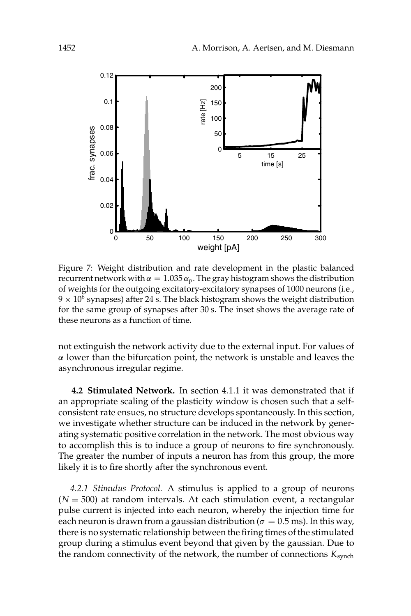

Figure 7: Weight distribution and rate development in the plastic balanced recurrent network with  $\alpha = 1.035 \alpha_p$ . The gray histogram shows the distribution of weights for the outgoing excitatory-excitatory synapses of 1000 neurons (i.e.,  $9 \times 10^6$  synapses) after 24 s. The black histogram shows the weight distribution for the same group of synapses after 30 s. The inset shows the average rate of these neurons as a function of time.

not extinguish the network activity due to the external input. For values of  $\alpha$  lower than the bifurcation point, the network is unstable and leaves the asynchronous irregular regime.

**4.2 Stimulated Network.** In section 4.1.1 it was demonstrated that if an appropriate scaling of the plasticity window is chosen such that a selfconsistent rate ensues, no structure develops spontaneously. In this section, we investigate whether structure can be induced in the network by generating systematic positive correlation in the network. The most obvious way to accomplish this is to induce a group of neurons to fire synchronously. The greater the number of inputs a neuron has from this group, the more likely it is to fire shortly after the synchronous event.

*4.2.1 Stimulus Protocol.* A stimulus is applied to a group of neurons  $(N = 500)$  at random intervals. At each stimulation event, a rectangular pulse current is injected into each neuron, whereby the injection time for each neuron is drawn from a gaussian distribution ( $\sigma = 0.5$  ms). In this way, there is no systematic relationship between the firing times of the stimulated group during a stimulus event beyond that given by the gaussian. Due to the random connectivity of the network, the number of connections *K*synch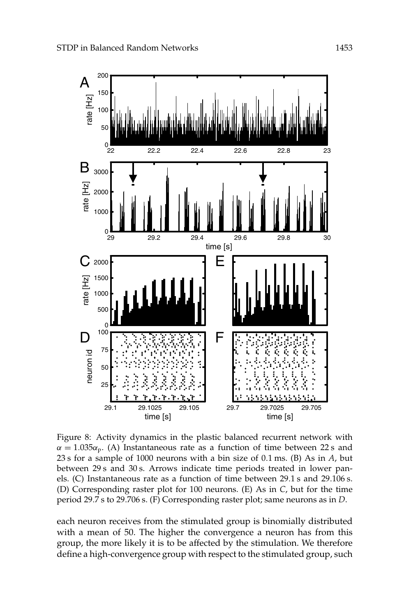

Figure 8: Activity dynamics in the plastic balanced recurrent network with  $\alpha = 1.035\alpha_{\rm p}$ . (A) Instantaneous rate as a function of time between 22 s and 23 s for a sample of 1000 neurons with a bin size of 0.1 ms. (B) As in *A*, but between 29 s and 30 s. Arrows indicate time periods treated in lower panels. (C) Instantaneous rate as a function of time between 29.1 s and 29.106 s. (D) Corresponding raster plot for 100 neurons. (E) As in *C*, but for the time period 29.7 s to 29.706 s. (F) Corresponding raster plot; same neurons as in *D*.

each neuron receives from the stimulated group is binomially distributed with a mean of 50. The higher the convergence a neuron has from this group, the more likely it is to be affected by the stimulation. We therefore define a high-convergence group with respect to the stimulated group, such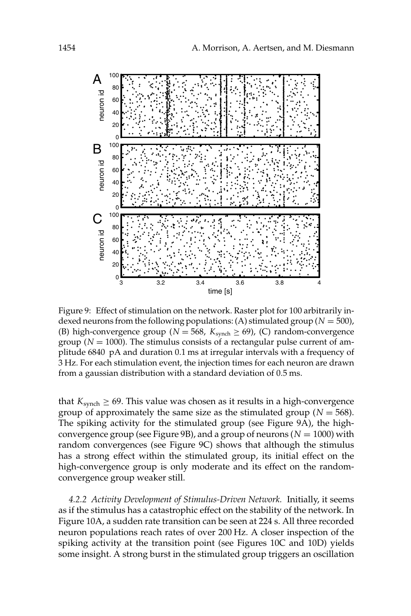

Figure 9: Effect of stimulation on the network. Raster plot for 100 arbitrarily indexed neurons from the following populations: (A) stimulated group ( $N = 500$ ), (B) high-convergence group ( $N = 568$ ,  $K_{\text{synch}} \geq 69$ ), (C) random-convergence group ( $N = 1000$ ). The stimulus consists of a rectangular pulse current of amplitude 6840 pA and duration 0.1 ms at irregular intervals with a frequency of 3 Hz. For each stimulation event, the injection times for each neuron are drawn from a gaussian distribution with a standard deviation of 0.5 ms.

that  $K_{\text{synch}} \geq 69$ . This value was chosen as it results in a high-convergence group of approximately the same size as the stimulated group ( $N = 568$ ). The spiking activity for the stimulated group (see Figure 9A), the highconvergence group (see Figure 9B), and a group of neurons  $(N = 1000)$  with random convergences (see Figure 9C) shows that although the stimulus has a strong effect within the stimulated group, its initial effect on the high-convergence group is only moderate and its effect on the randomconvergence group weaker still.

*4.2.2 Activity Development of Stimulus-Driven Network.* Initially, it seems as if the stimulus has a catastrophic effect on the stability of the network. In Figure 10A, a sudden rate transition can be seen at 224 s. All three recorded neuron populations reach rates of over 200 Hz. A closer inspection of the spiking activity at the transition point (see Figures 10C and 10D) yields some insight. A strong burst in the stimulated group triggers an oscillation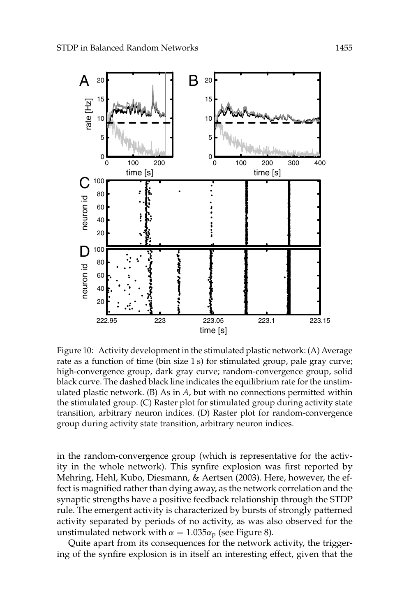

Figure 10: Activity development in the stimulated plastic network: (A) Average rate as a function of time (bin size 1 s) for stimulated group, pale gray curve; high-convergence group, dark gray curve; random-convergence group, solid black curve. The dashed black line indicates the equilibrium rate for the unstimulated plastic network. (B) As in *A*, but with no connections permitted within the stimulated group. (C) Raster plot for stimulated group during activity state transition, arbitrary neuron indices. (D) Raster plot for random-convergence group during activity state transition, arbitrary neuron indices.

in the random-convergence group (which is representative for the activity in the whole network). This synfire explosion was first reported by Mehring, Hehl, Kubo, Diesmann, & Aertsen (2003). Here, however, the effect is magnified rather than dying away, as the network correlation and the synaptic strengths have a positive feedback relationship through the STDP rule. The emergent activity is characterized by bursts of strongly patterned activity separated by periods of no activity, as was also observed for the unstimulated network with  $\alpha = 1.035\alpha_p$  (see Figure 8).

Quite apart from its consequences for the network activity, the triggering of the synfire explosion is in itself an interesting effect, given that the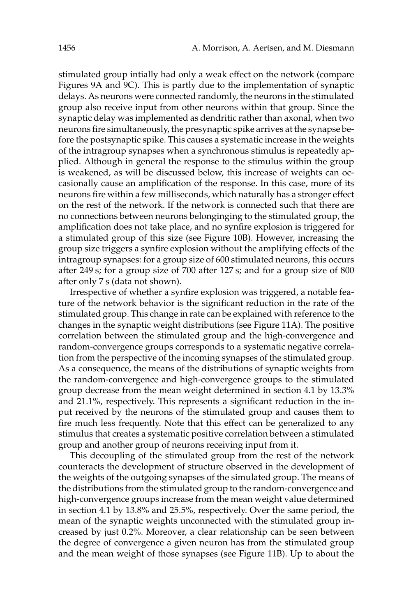stimulated group intially had only a weak effect on the network (compare Figures 9A and 9C). This is partly due to the implementation of synaptic delays. As neurons were connected randomly, the neurons in the stimulated group also receive input from other neurons within that group. Since the synaptic delay was implemented as dendritic rather than axonal, when two neurons fire simultaneously, the presynaptic spike arrives at the synapse before the postsynaptic spike. This causes a systematic increase in the weights of the intragroup synapses when a synchronous stimulus is repeatedly applied. Although in general the response to the stimulus within the group is weakened, as will be discussed below, this increase of weights can occasionally cause an amplification of the response. In this case, more of its neurons fire within a few milliseconds, which naturally has a stronger effect on the rest of the network. If the network is connected such that there are no connections between neurons belonginging to the stimulated group, the amplification does not take place, and no synfire explosion is triggered for a stimulated group of this size (see Figure 10B). However, increasing the group size triggers a synfire explosion without the amplifying effects of the intragroup synapses: for a group size of 600 stimulated neurons, this occurs after 249 s; for a group size of 700 after 127 s; and for a group size of 800 after only 7 s (data not shown).

Irrespective of whether a synfire explosion was triggered, a notable feature of the network behavior is the significant reduction in the rate of the stimulated group. This change in rate can be explained with reference to the changes in the synaptic weight distributions (see Figure 11A). The positive correlation between the stimulated group and the high-convergence and random-convergence groups corresponds to a systematic negative correlation from the perspective of the incoming synapses of the stimulated group. As a consequence, the means of the distributions of synaptic weights from the random-convergence and high-convergence groups to the stimulated group decrease from the mean weight determined in section 4.1 by 13.3% and 21.1%, respectively. This represents a significant reduction in the input received by the neurons of the stimulated group and causes them to fire much less frequently. Note that this effect can be generalized to any stimulus that creates a systematic positive correlation between a stimulated group and another group of neurons receiving input from it.

This decoupling of the stimulated group from the rest of the network counteracts the development of structure observed in the development of the weights of the outgoing synapses of the simulated group. The means of the distributions from the stimulated group to the random-convergence and high-convergence groups increase from the mean weight value determined in section 4.1 by 13.8% and 25.5%, respectively. Over the same period, the mean of the synaptic weights unconnected with the stimulated group increased by just 0.2%. Moreover, a clear relationship can be seen between the degree of convergence a given neuron has from the stimulated group and the mean weight of those synapses (see Figure 11B). Up to about the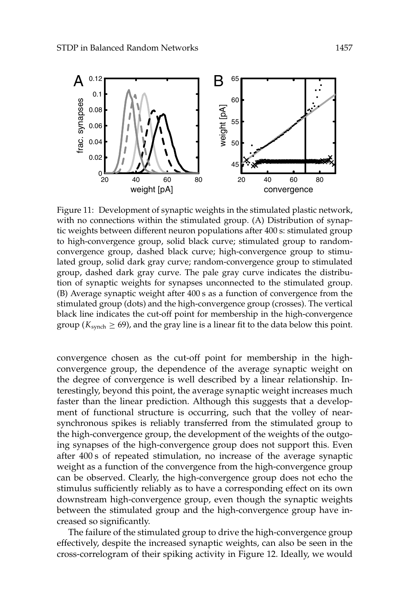

Figure 11: Development of synaptic weights in the stimulated plastic network, with no connections within the stimulated group. (A) Distribution of synaptic weights between different neuron populations after 400 s: stimulated group to high-convergence group, solid black curve; stimulated group to randomconvergence group, dashed black curve; high-convergence group to stimulated group, solid dark gray curve; random-convergence group to stimulated group, dashed dark gray curve. The pale gray curve indicates the distribution of synaptic weights for synapses unconnected to the stimulated group. (B) Average synaptic weight after 400 s as a function of convergence from the stimulated group (dots) and the high-convergence group (crosses). The vertical black line indicates the cut-off point for membership in the high-convergence group ( $K_{\text{synch}} \geq 69$ ), and the gray line is a linear fit to the data below this point.

convergence chosen as the cut-off point for membership in the highconvergence group, the dependence of the average synaptic weight on the degree of convergence is well described by a linear relationship. Interestingly, beyond this point, the average synaptic weight increases much faster than the linear prediction. Although this suggests that a development of functional structure is occurring, such that the volley of nearsynchronous spikes is reliably transferred from the stimulated group to the high-convergence group, the development of the weights of the outgoing synapses of the high-convergence group does not support this. Even after 400 s of repeated stimulation, no increase of the average synaptic weight as a function of the convergence from the high-convergence group can be observed. Clearly, the high-convergence group does not echo the stimulus sufficiently reliably as to have a corresponding effect on its own downstream high-convergence group, even though the synaptic weights between the stimulated group and the high-convergence group have increased so significantly.

The failure of the stimulated group to drive the high-convergence group effectively, despite the increased synaptic weights, can also be seen in the cross-correlogram of their spiking activity in Figure 12. Ideally, we would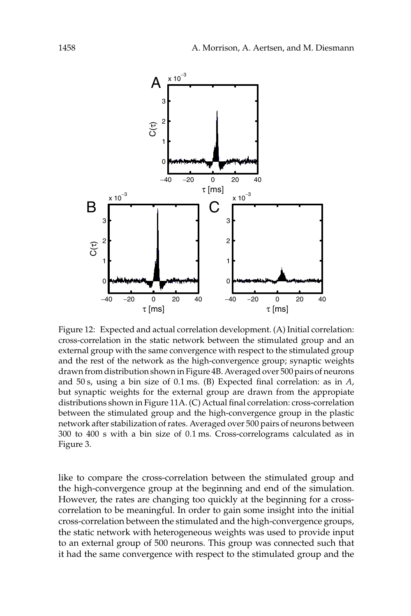

Figure 12: Expected and actual correlation development. (A) Initial correlation: cross-correlation in the static network between the stimulated group and an external group with the same convergence with respect to the stimulated group and the rest of the network as the high-convergence group; synaptic weights drawn from distribution shown in Figure 4B. Averaged over 500 pairs of neurons and 50 s, using a bin size of 0.1 ms. (B) Expected final correlation: as in *A*, but synaptic weights for the external group are drawn from the appropiate distributions shown in Figure 11A. (C) Actual final correlation: cross-correlation between the stimulated group and the high-convergence group in the plastic network after stabilization of rates. Averaged over 500 pairs of neurons between 300 to 400 s with a bin size of 0.1 ms. Cross-correlograms calculated as in Figure 3.

like to compare the cross-correlation between the stimulated group and the high-convergence group at the beginning and end of the simulation. However, the rates are changing too quickly at the beginning for a crosscorrelation to be meaningful. In order to gain some insight into the initial cross-correlation between the stimulated and the high-convergence groups, the static network with heterogeneous weights was used to provide input to an external group of 500 neurons. This group was connected such that it had the same convergence with respect to the stimulated group and the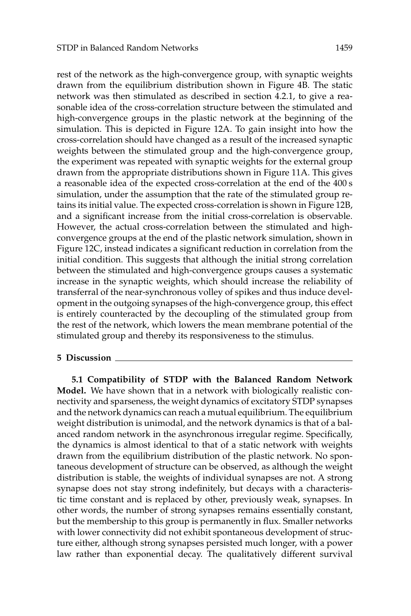rest of the network as the high-convergence group, with synaptic weights drawn from the equilibrium distribution shown in Figure 4B. The static network was then stimulated as described in section 4.2.1, to give a reasonable idea of the cross-correlation structure between the stimulated and high-convergence groups in the plastic network at the beginning of the simulation. This is depicted in Figure 12A. To gain insight into how the cross-correlation should have changed as a result of the increased synaptic weights between the stimulated group and the high-convergence group, the experiment was repeated with synaptic weights for the external group drawn from the appropriate distributions shown in Figure 11A. This gives a reasonable idea of the expected cross-correlation at the end of the 400 s simulation, under the assumption that the rate of the stimulated group retains its initial value. The expected cross-correlation is shown in Figure 12B, and a significant increase from the initial cross-correlation is observable. However, the actual cross-correlation between the stimulated and highconvergence groups at the end of the plastic network simulation, shown in Figure 12C, instead indicates a significant reduction in correlation from the initial condition. This suggests that although the initial strong correlation between the stimulated and high-convergence groups causes a systematic increase in the synaptic weights, which should increase the reliability of transferral of the near-synchronous volley of spikes and thus induce development in the outgoing synapses of the high-convergence group, this effect is entirely counteracted by the decoupling of the stimulated group from the rest of the network, which lowers the mean membrane potential of the stimulated group and thereby its responsiveness to the stimulus.

#### **5 Discussion**

**5.1 Compatibility of STDP with the Balanced Random Network Model.** We have shown that in a network with biologically realistic connectivity and sparseness, the weight dynamics of excitatory STDP synapses and the network dynamics can reach a mutual equilibrium. The equilibrium weight distribution is unimodal, and the network dynamics is that of a balanced random network in the asynchronous irregular regime. Specifically, the dynamics is almost identical to that of a static network with weights drawn from the equilibrium distribution of the plastic network. No spontaneous development of structure can be observed, as although the weight distribution is stable, the weights of individual synapses are not. A strong synapse does not stay strong indefinitely, but decays with a characteristic time constant and is replaced by other, previously weak, synapses. In other words, the number of strong synapses remains essentially constant, but the membership to this group is permanently in flux. Smaller networks with lower connectivity did not exhibit spontaneous development of structure either, although strong synapses persisted much longer, with a power law rather than exponential decay. The qualitatively different survival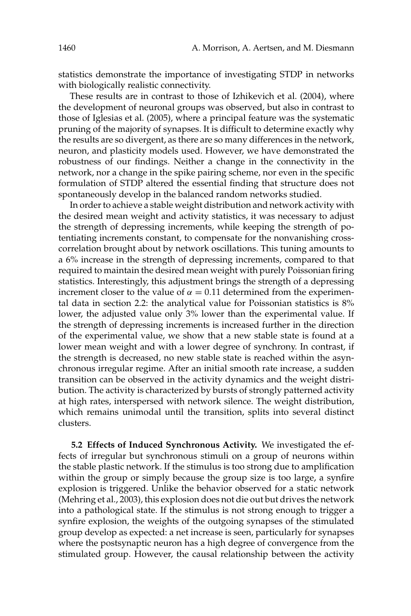statistics demonstrate the importance of investigating STDP in networks with biologically realistic connectivity.

These results are in contrast to those of Izhikevich et al. (2004), where the development of neuronal groups was observed, but also in contrast to those of Iglesias et al. (2005), where a principal feature was the systematic pruning of the majority of synapses. It is difficult to determine exactly why the results are so divergent, as there are so many differences in the network, neuron, and plasticity models used. However, we have demonstrated the robustness of our findings. Neither a change in the connectivity in the network, nor a change in the spike pairing scheme, nor even in the specific formulation of STDP altered the essential finding that structure does not spontaneously develop in the balanced random networks studied.

In order to achieve a stable weight distribution and network activity with the desired mean weight and activity statistics, it was necessary to adjust the strength of depressing increments, while keeping the strength of potentiating increments constant, to compensate for the nonvanishing crosscorrelation brought about by network oscillations. This tuning amounts to a 6% increase in the strength of depressing increments, compared to that required to maintain the desired mean weight with purely Poissonian firing statistics. Interestingly, this adjustment brings the strength of a depressing increment closer to the value of  $\alpha = 0.11$  determined from the experimental data in section 2.2: the analytical value for Poissonian statistics is 8% lower, the adjusted value only 3% lower than the experimental value. If the strength of depressing increments is increased further in the direction of the experimental value, we show that a new stable state is found at a lower mean weight and with a lower degree of synchrony. In contrast, if the strength is decreased, no new stable state is reached within the asynchronous irregular regime. After an initial smooth rate increase, a sudden transition can be observed in the activity dynamics and the weight distribution. The activity is characterized by bursts of strongly patterned activity at high rates, interspersed with network silence. The weight distribution, which remains unimodal until the transition, splits into several distinct clusters.

**5.2 Effects of Induced Synchronous Activity.** We investigated the effects of irregular but synchronous stimuli on a group of neurons within the stable plastic network. If the stimulus is too strong due to amplification within the group or simply because the group size is too large, a synfire explosion is triggered. Unlike the behavior observed for a static network (Mehring et al., 2003), this explosion does not die out but drives the network into a pathological state. If the stimulus is not strong enough to trigger a synfire explosion, the weights of the outgoing synapses of the stimulated group develop as expected: a net increase is seen, particularly for synapses where the postsynaptic neuron has a high degree of convergence from the stimulated group. However, the causal relationship between the activity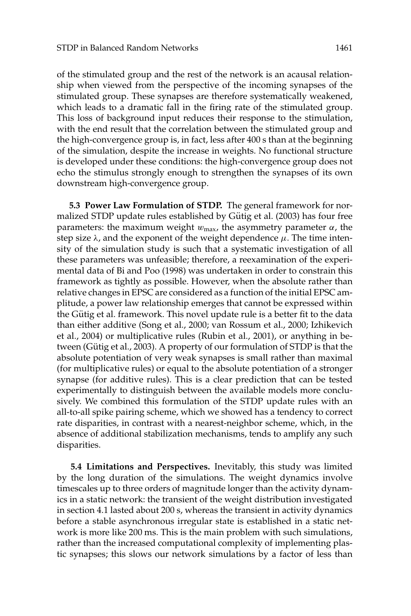of the stimulated group and the rest of the network is an acausal relationship when viewed from the perspective of the incoming synapses of the stimulated group. These synapses are therefore systematically weakened, which leads to a dramatic fall in the firing rate of the stimulated group. This loss of background input reduces their response to the stimulation, with the end result that the correlation between the stimulated group and the high-convergence group is, in fact, less after 400 s than at the beginning of the simulation, despite the increase in weights. No functional structure is developed under these conditions: the high-convergence group does not echo the stimulus strongly enough to strengthen the synapses of its own downstream high-convergence group.

**5.3 Power Law Formulation of STDP.** The general framework for normalized STDP update rules established by Gütig et al. (2003) has four free parameters: the maximum weight  $w_{\text{max}}$ , the asymmetry parameter  $\alpha$ , the step size  $\lambda$ , and the exponent of the weight dependence  $\mu$ . The time intensity of the simulation study is such that a systematic investigation of all these parameters was unfeasible; therefore, a reexamination of the experimental data of Bi and Poo (1998) was undertaken in order to constrain this framework as tightly as possible. However, when the absolute rather than relative changes in EPSC are considered as a function of the initial EPSC amplitude, a power law relationship emerges that cannot be expressed within the Gütig et al. framework. This novel update rule is a better fit to the data than either additive (Song et al., 2000; van Rossum et al., 2000; Izhikevich et al., 2004) or multiplicative rules (Rubin et al., 2001), or anything in between (Gütig et al., 2003). A property of our formulation of STDP is that the absolute potentiation of very weak synapses is small rather than maximal (for multiplicative rules) or equal to the absolute potentiation of a stronger synapse (for additive rules). This is a clear prediction that can be tested experimentally to distinguish between the available models more conclusively. We combined this formulation of the STDP update rules with an all-to-all spike pairing scheme, which we showed has a tendency to correct rate disparities, in contrast with a nearest-neighbor scheme, which, in the absence of additional stabilization mechanisms, tends to amplify any such disparities.

**5.4 Limitations and Perspectives.** Inevitably, this study was limited by the long duration of the simulations. The weight dynamics involve timescales up to three orders of magnitude longer than the activity dynamics in a static network: the transient of the weight distribution investigated in section 4.1 lasted about 200 s, whereas the transient in activity dynamics before a stable asynchronous irregular state is established in a static network is more like 200 ms. This is the main problem with such simulations, rather than the increased computational complexity of implementing plastic synapses; this slows our network simulations by a factor of less than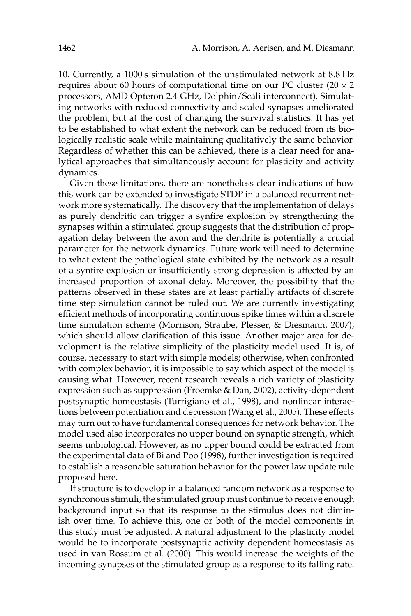10. Currently, a 1000 s simulation of the unstimulated network at 8.8 Hz requires about 60 hours of computational time on our PC cluster ( $20 \times 2$ ) processors, AMD Opteron 2.4 GHz, Dolphin/Scali interconnect). Simulating networks with reduced connectivity and scaled synapses ameliorated the problem, but at the cost of changing the survival statistics. It has yet to be established to what extent the network can be reduced from its biologically realistic scale while maintaining qualitatively the same behavior. Regardless of whether this can be achieved, there is a clear need for analytical approaches that simultaneously account for plasticity and activity dynamics.

Given these limitations, there are nonetheless clear indications of how this work can be extended to investigate STDP in a balanced recurrent network more systematically. The discovery that the implementation of delays as purely dendritic can trigger a synfire explosion by strengthening the synapses within a stimulated group suggests that the distribution of propagation delay between the axon and the dendrite is potentially a crucial parameter for the network dynamics. Future work will need to determine to what extent the pathological state exhibited by the network as a result of a synfire explosion or insufficiently strong depression is affected by an increased proportion of axonal delay. Moreover, the possibility that the patterns observed in these states are at least partially artifacts of discrete time step simulation cannot be ruled out. We are currently investigating efficient methods of incorporating continuous spike times within a discrete time simulation scheme (Morrison, Straube, Plesser, & Diesmann, 2007), which should allow clarification of this issue. Another major area for development is the relative simplicity of the plasticity model used. It is, of course, necessary to start with simple models; otherwise, when confronted with complex behavior, it is impossible to say which aspect of the model is causing what. However, recent research reveals a rich variety of plasticity expression such as suppression (Froemke & Dan, 2002), activity-dependent postsynaptic homeostasis (Turrigiano et al., 1998), and nonlinear interactions between potentiation and depression (Wang et al., 2005). These effects may turn out to have fundamental consequences for network behavior. The model used also incorporates no upper bound on synaptic strength, which seems unbiological. However, as no upper bound could be extracted from the experimental data of Bi and Poo (1998), further investigation is required to establish a reasonable saturation behavior for the power law update rule proposed here.

If structure is to develop in a balanced random network as a response to synchronous stimuli, the stimulated group must continue to receive enough background input so that its response to the stimulus does not diminish over time. To achieve this, one or both of the model components in this study must be adjusted. A natural adjustment to the plasticity model would be to incorporate postsynaptic activity dependent homeostasis as used in van Rossum et al. (2000). This would increase the weights of the incoming synapses of the stimulated group as a response to its falling rate.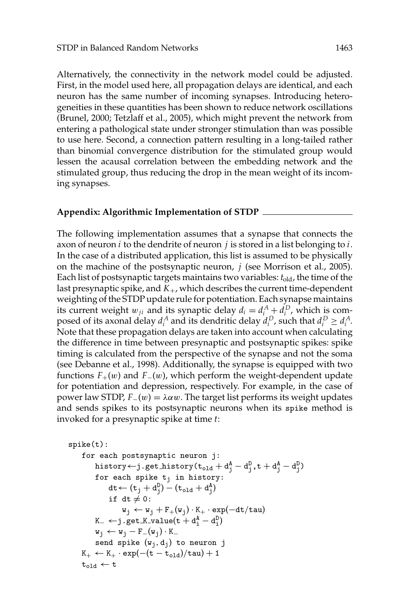Alternatively, the connectivity in the network model could be adjusted. First, in the model used here, all propagation delays are identical, and each neuron has the same number of incoming synapses. Introducing heterogeneities in these quantities has been shown to reduce network oscillations (Brunel, 2000; Tetzlaff et al., 2005), which might prevent the network from entering a pathological state under stronger stimulation than was possible to use here. Second, a connection pattern resulting in a long-tailed rather than binomial convergence distribution for the stimulated group would lessen the acausal correlation between the embedding network and the stimulated group, thus reducing the drop in the mean weight of its incoming synapses.

## **Appendix: Algorithmic Implementation of STDP**

The following implementation assumes that a synapse that connects the axon of neuron *i* to the dendrite of neuron *j* is stored in a list belonging to *i*. In the case of a distributed application, this list is assumed to be physically on the machine of the postsynaptic neuron, *j* (see Morrison et al., 2005). Each list of postsynaptic targets maintains two variables: *t*old, the time of the last presynaptic spike, and  $K_{+}$ , which describes the current time-dependent weighting of the STDP update rule for potentiation. Each synapse maintains its current weight  $w_{ji}$  and its synaptic delay  $d_i = d_i^A + d_i^D$ , which is composed of its axonal delay  $d_i^A$  and its dendritic delay  $d_i^D$ , such that  $d_i^D \geq d_i^A$ . Note that these propagation delays are taken into account when calculating the difference in time between presynaptic and postsynaptic spikes: spike timing is calculated from the perspective of the synapse and not the soma (see Debanne et al., 1998). Additionally, the synapse is equipped with two functions  $F_+(w)$  and  $F_-(w)$ , which perform the weight-dependent update for potentiation and depression, respectively. For example, in the case of power law STDP,  $F_-(w) = \lambda \alpha w$ . The target list performs its weight updates and sends spikes to its postsynaptic neurons when its spike method is invoked for a presynaptic spike at time *t*:

```
spike(t):
      for each postsynaptic neuron j:
             {\rm history} {\leftarrow} {\rm j}_{\rm}.{\rm get} {\rm history}({\rm t}_{\rm old}+{\rm d}_{\rm j}^{\rm A}-{\rm d}_{\rm j}^{\rm D}, {\rm t}+{\rm d}_{\rm j}^{\rm A}-{\rm d}_{\rm j}^{\rm D})for each spike t_j in history:
                    \mathrm{dt}\leftarrow (\mathrm{t_j}+\mathrm{d_j^D})-(\mathrm{t_{old}}+\mathrm{d_j^A})if dt \neq 0:
                         w_i \leftarrow w_i + F_+(w_i) \cdot K_+ \cdot \exp(-dt/tau)K_-\leftarrow j.\mathtt{get\_K\_value}(\mathtt{t}+\mathtt{d_i^A}-\mathtt{d_i^D})w_j \leftarrow w_j - F_{-}(w_j) \cdot K_{-}send spike (w_i, d_i) to neuron j
      K_+ \leftarrow K_+ \cdot \exp(-(t - t_{old})/tau) + 1t_{old} \leftarrow t
```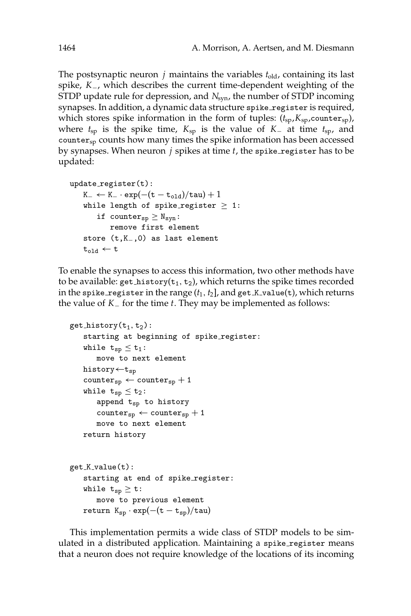The postsynaptic neuron *j* maintains the variables  $t_{old}$ , containing its last spike, *K*−, which describes the current time-dependent weighting of the STDP update rule for depression, and *N*<sub>syn</sub>, the number of STDP incoming synapses. In addition, a dynamic data structure spike register is required, which stores spike information in the form of tuples:  $(t_{sp}, K_{sp}, counter_{sp})$ , where  $t<sub>sp</sub>$  is the spike time,  $K<sub>sp</sub>$  is the value of  $K<sub>−</sub>$  at time  $t<sub>sp</sub>$ , and  $counter<sub>sp</sub> counts how many times the spike information has been accessed$ by synapses. When neuron *j* spikes at time *t*, the spike register has to be updated:

```
update\_register(t):
   K_-\leftarrow K_-\cdot exp(-(t-t_{old})/tau) + 1while length of spike register \geq 1:
       if counter_{sp} \geq N_{syn}:
           remove first element
    store (t,K−,0) as last element
   t_{old} \leftarrow t
```
To enable the synapses to access this information, two other methods have to be available: get history( $t_1, t_2$ ), which returns the spike times recorded in the spike register in the range  $(t_1, t_2]$ , and get K value(t), which returns the value of *K*<sup>−</sup> for the time *t*. They may be implemented as follows:

```
get_history(t_1, t_2):
   starting at beginning of spike_register:
   while t_{sp} \leq t_1:
       move to next element
   history←tsp
   counter_{sp} \leftarrow counter_{sp} + 1while t_{sp} \leq t_2:
       append t_{sp} to history
       counter_{sp} \leftarrow counter_{sp} + 1move to next element
   return history
get_K-value(t):
   starting at end of spike register:
   while t_{sp} \geq t:
       move to previous element
   return K_{sp} \cdot exp(-(t - t_{sp})/tau)
```
This implementation permits a wide class of STDP models to be simulated in a distributed application. Maintaining a spike register means that a neuron does not require knowledge of the locations of its incoming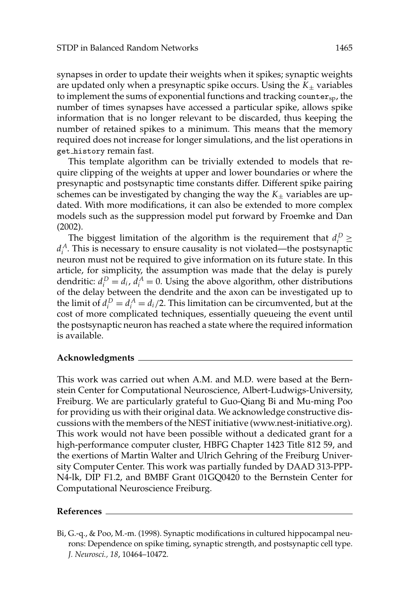synapses in order to update their weights when it spikes; synaptic weights are updated only when a presynaptic spike occurs. Using the  $K_{\pm}$  variables to implement the sums of exponential functions and tracking counter<sub>sp</sub>, the number of times synapses have accessed a particular spike, allows spike information that is no longer relevant to be discarded, thus keeping the number of retained spikes to a minimum. This means that the memory required does not increase for longer simulations, and the list operations in get history remain fast.

This template algorithm can be trivially extended to models that require clipping of the weights at upper and lower boundaries or where the presynaptic and postsynaptic time constants differ. Different spike pairing schemes can be investigated by changing the way the  $K_{\pm}$  variables are updated. With more modifications, it can also be extended to more complex models such as the suppression model put forward by Froemke and Dan (2002).

The biggest limitation of the algorithm is the requirement that  $d_i^D \geq$  $d_i^A$ . This is necessary to ensure causality is not violated—the postsynaptic neuron must not be required to give information on its future state. In this article, for simplicity, the assumption was made that the delay is purely dendritic:  $d_i^D = d_i$ ,  $d_i^A = 0$ . Using the above algorithm, other distributions of the delay between the dendrite and the axon can be investigated up to the limit of  $d_i^D = d_i^A = d_i/2$ . This limitation can be circumvented, but at the cost of more complicated techniques, essentially queueing the event until the postsynaptic neuron has reached a state where the required information is available.

#### **Acknowledgments**

This work was carried out when A.M. and M.D. were based at the Bernstein Center for Computational Neuroscience, Albert-Ludwigs-University, Freiburg. We are particularly grateful to Guo-Qiang Bi and Mu-ming Poo for providing us with their original data. We acknowledge constructive discussions with the members of the NEST initiative (www.nest-initiative.org). This work would not have been possible without a dedicated grant for a high-performance computer cluster, HBFG Chapter 1423 Title 812 59, and the exertions of Martin Walter and Ulrich Gehring of the Freiburg University Computer Center. This work was partially funded by DAAD 313-PPP-N4-lk, DIP F1.2, and BMBF Grant 01GQ0420 to the Bernstein Center for Computational Neuroscience Freiburg.

#### **References**

Bi, G.-q., & Poo, M.-m. (1998). Synaptic modifications in cultured hippocampal neurons: Dependence on spike timing, synaptic strength, and postsynaptic cell type. *J. Neurosci., 18*, 10464–10472.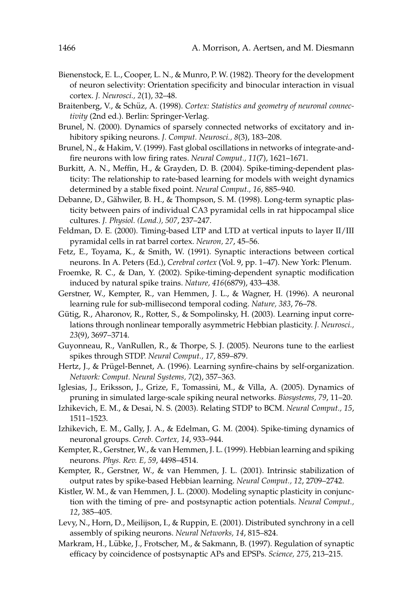- Bienenstock, E. L., Cooper, L. N., & Munro, P. W. (1982). Theory for the development of neuron selectivity: Orientation specificity and binocular interaction in visual cortex. *J. Neurosci., 2*(1), 32–48.
- Braitenberg, V., & Schüz, A. (1998). Cortex: Statistics and geometry of neuronal connec*tivity* (2nd ed.). Berlin: Springer-Verlag.
- Brunel, N. (2000). Dynamics of sparsely connected networks of excitatory and inhibitory spiking neurons. *J. Comput. Neurosci., 8*(3), 183–208.
- Brunel, N., & Hakim, V. (1999). Fast global oscillations in networks of integrate-andfire neurons with low firing rates. *Neural Comput., 11*(7), 1621–1671.
- Burkitt, A. N., Meffin, H., & Grayden, D. B. (2004). Spike-timing-dependent plasticity: The relationship to rate-based learning for models with weight dynamics determined by a stable fixed point. *Neural Comput., 16*, 885–940.
- Debanne, D., Gahwiler, B. H., & Thompson, S. M. (1998). Long-term synaptic plas- ¨ ticity between pairs of individual CA3 pyramidal cells in rat hippocampal slice cultures. *J. Physiol. (Lond.), 507*, 237–247.
- Feldman, D. E. (2000). Timing-based LTP and LTD at vertical inputs to layer II/III pyramidal cells in rat barrel cortex. *Neuron, 27*, 45–56.
- Fetz, E., Toyama, K., & Smith, W. (1991). Synaptic interactions between cortical neurons. In A. Peters (Ed.), *Cerebral cortex* (Vol. 9, pp. 1–47). New York: Plenum.
- Froemke, R. C., & Dan, Y. (2002). Spike-timing-dependent synaptic modification induced by natural spike trains. *Nature, 416*(6879), 433–438.
- Gerstner, W., Kempter, R., van Hemmen, J. L., & Wagner, H. (1996). A neuronal learning rule for sub-millisecond temporal coding. *Nature, 383*, 76–78.
- Gütig, R., Aharonov, R., Rotter, S., & Sompolinsky, H. (2003). Learning input correlations through nonlinear temporally asymmetric Hebbian plasticity. *J. Neurosci., 23*(9), 3697–3714.
- Guyonneau, R., VanRullen, R., & Thorpe, S. J. (2005). Neurons tune to the earliest spikes through STDP. *Neural Comput., 17*, 859–879.
- Hertz, J., & Prügel-Bennet, A. (1996). Learning synfire-chains by self-organization. *Network: Comput. Neural Systems, 7*(2), 357–363.
- Iglesias, J., Eriksson, J., Grize, F., Tomassini, M., & Villa, A. (2005). Dynamics of pruning in simulated large-scale spiking neural networks. *Biosystems, 79*, 11–20.
- Izhikevich, E. M., & Desai, N. S. (2003). Relating STDP to BCM. *Neural Comput., 15*, 1511–1523.
- Izhikevich, E. M., Gally, J. A., & Edelman, G. M. (2004). Spike-timing dynamics of neuronal groups. *Cereb. Cortex, 14*, 933–944.
- Kempter, R., Gerstner, W., & van Hemmen, J. L. (1999). Hebbian learning and spiking neurons. *Phys. Rev. E, 59*, 4498–4514.
- Kempter, R., Gerstner, W., & van Hemmen, J. L. (2001). Intrinsic stabilization of output rates by spike-based Hebbian learning. *Neural Comput., 12*, 2709–2742.
- Kistler, W. M., & van Hemmen, J. L. (2000). Modeling synaptic plasticity in conjunction with the timing of pre- and postsynaptic action potentials. *Neural Comput., 12*, 385–405.
- Levy, N., Horn, D., Meilijson, I., & Ruppin, E. (2001). Distributed synchrony in a cell assembly of spiking neurons. *Neural Networks, 14*, 815–824.
- Markram, H., Lübke, J., Frotscher, M., & Sakmann, B. (1997). Regulation of synaptic efficacy by coincidence of postsynaptic APs and EPSPs. *Science, 275*, 213–215.